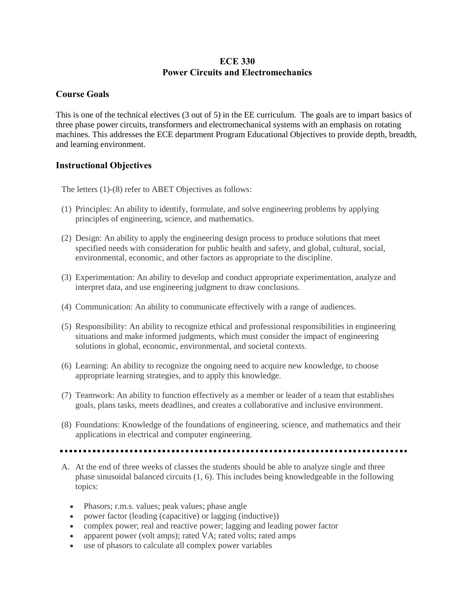## **ECE 330 Power Circuits and Electromechanics**

## **Course Goals**

This is one of the technical electives (3 out of 5) in the EE curriculum. The goals are to impart basics of three phase power circuits, transformers and electromechanical systems with an emphasis on rotating machines. This addresses the ECE department Program Educational Objectives to provide depth, breadth, and learning environment.

## **Instructional Objectives**

The letters (1)-(8) refer to ABET Objectives as follows:

- (1) Principles: An ability to identify, formulate, and solve engineering problems by applying principles of engineering, science, and mathematics.
- (2) Design: An ability to apply the engineering design process to produce solutions that meet specified needs with consideration for public health and safety, and global, cultural, social, environmental, economic, and other factors as appropriate to the discipline.
- (3) Experimentation: An ability to develop and conduct appropriate experimentation, analyze and interpret data, and use engineering judgment to draw conclusions.
- (4) Communication: An ability to communicate effectively with a range of audiences.
- (5) Responsibility: An ability to recognize ethical and professional responsibilities in engineering situations and make informed judgments, which must consider the impact of engineering solutions in global, economic, environmental, and societal contexts.
- (6) Learning: An ability to recognize the ongoing need to acquire new knowledge, to choose appropriate learning strategies, and to apply this knowledge.
- (7) Teamwork: An ability to function effectively as a member or leader of a team that establishes goals, plans tasks, meets deadlines, and creates a collaborative and inclusive environment.
- (8) Foundations: Knowledge of the foundations of engineering, science, and mathematics and their applications in electrical and computer engineering.

- A. At the end of three weeks of classes the students should be able to analyze single and three phase sinusoidal balanced circuits (1, 6). This includes being knowledgeable in the following topics:
	- Phasors; r.m.s. values; peak values; phase angle
	- power factor (leading (capacitive) or lagging (inductive))
	- complex power; real and reactive power; lagging and leading power factor
	- apparent power (volt amps); rated VA; rated volts; rated amps
	- use of phasors to calculate all complex power variables